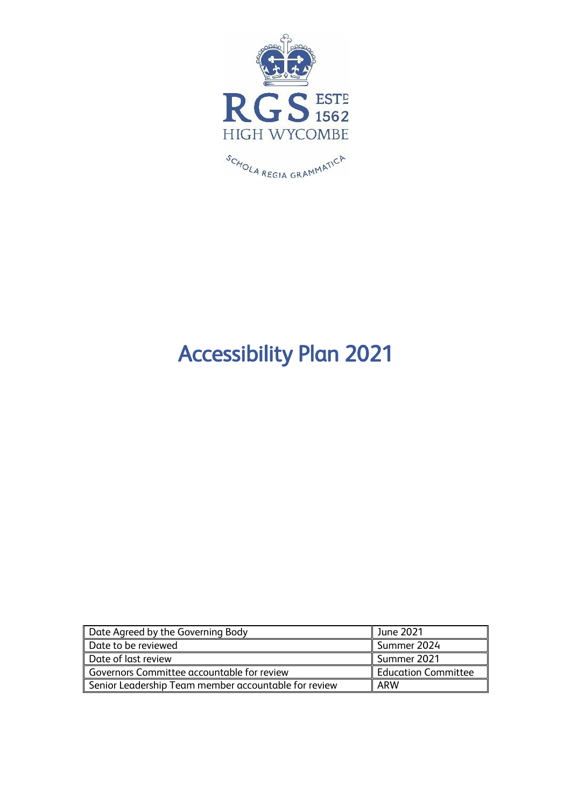

# Accessibility Plan 2021

| Date Agreed by the Governing Body                    | June 2021                  |
|------------------------------------------------------|----------------------------|
| Date to be reviewed                                  | l Summer 2024              |
| Date of last review                                  | l Summer 2021              |
| Governors Committee accountable for review           | <b>Education Committee</b> |
| Senior Leadership Team member accountable for review | ARW                        |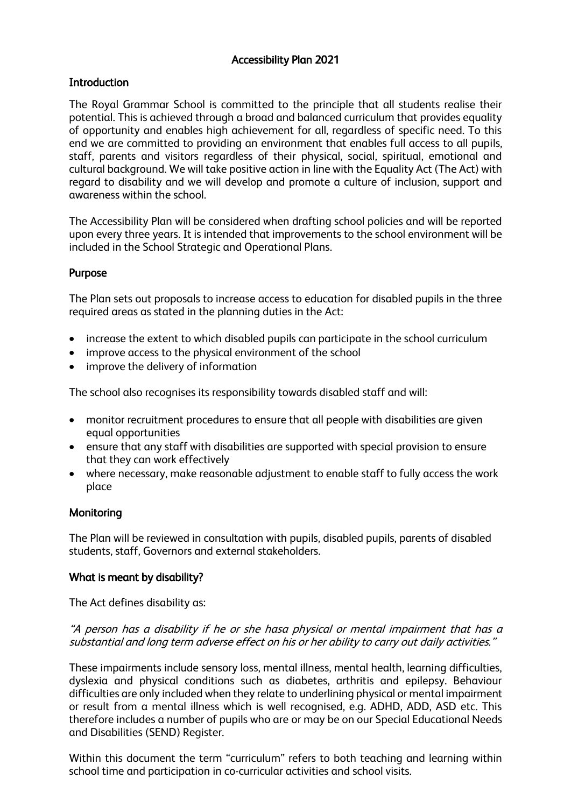## Accessibility Plan 2021

## **Introduction**

The Royal Grammar School is committed to the principle that all students realise their potential. This is achieved through a broad and balanced curriculum that provides equality of opportunity and enables high achievement for all, regardless of specific need. To this end we are committed to providing an environment that enables full access to all pupils, staff, parents and visitors regardless of their physical, social, spiritual, emotional and cultural background. We will take positive action in line with the Equality Act (The Act) with regard to disability and we will develop and promote a culture of inclusion, support and awareness within the school.

The Accessibility Plan will be considered when drafting school policies and will be reported upon every three years. It is intended that improvements to the school environment will be included in the School Strategic and Operational Plans.

## Purpose

The Plan sets out proposals to increase access to education for disabled pupils in the three required areas as stated in the planning duties in the Act:

- increase the extent to which disabled pupils can participate in the school curriculum
- improve access to the physical environment of the school
- improve the delivery of information

The school also recognises its responsibility towards disabled staff and will:

- monitor recruitment procedures to ensure that all people with disabilities are given equal opportunities
- ensure that any staff with disabilities are supported with special provision to ensure that they can work effectively
- where necessary, make reasonable adjustment to enable staff to fully access the work place

## **Monitoring**

The Plan will be reviewed in consultation with pupils, disabled pupils, parents of disabled students, staff, Governors and external stakeholders.

## What is meant by disability?

The Act defines disability as:

## "A person has a disability if he or she hasa physical or mental impairment that has a substantial and long term adverse effect on his or her ability to carry out daily activities."

These impairments include sensory loss, mental illness, mental health, learning difficulties, dyslexia and physical conditions such as diabetes, arthritis and epilepsy. Behaviour difficulties are only included when they relate to underlining physical or mental impairment or result from a mental illness which is well recognised, e.g. ADHD, ADD, ASD etc. This therefore includes a number of pupils who are or may be on our Special Educational Needs and Disabilities (SEND) Register.

Within this document the term "curriculum" refers to both teaching and learning within school time and participation in co-curricular activities and school visits.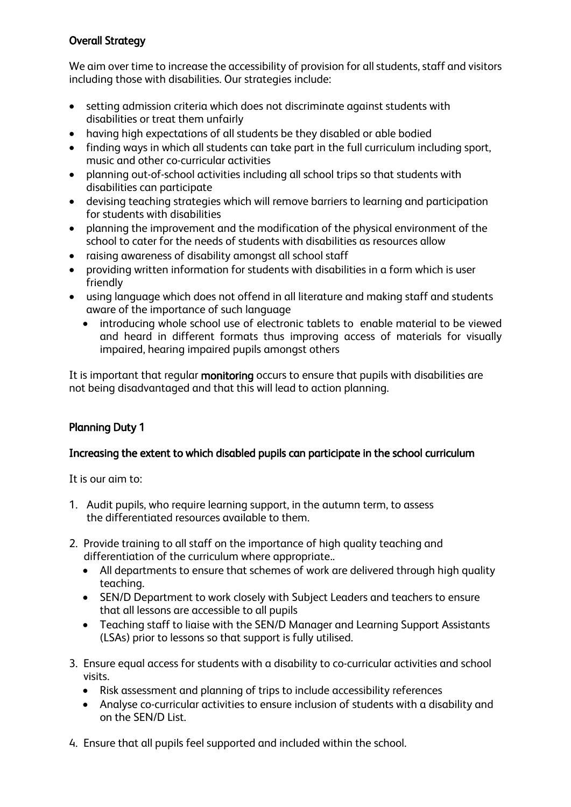# Overall Strategy

We aim over time to increase the accessibility of provision for all students, staff and visitors including those with disabilities. Our strategies include:

- setting admission criteria which does not discriminate against students with disabilities or treat them unfairly
- having high expectations of all students be they disabled or able bodied
- finding ways in which all students can take part in the full curriculum including sport, music and other co-curricular activities
- planning out-of-school activities including all school trips so that students with disabilities can participate
- devising teaching strategies which will remove barriers to learning and participation for students with disabilities
- planning the improvement and the modification of the physical environment of the school to cater for the needs of students with disabilities as resources allow
- raising awareness of disability amongst all school staff
- providing written information for students with disabilities in a form which is user friendly
- using language which does not offend in all literature and making staff and students aware of the importance of such language
	- introducing whole school use of electronic tablets to enable material to be viewed and heard in different formats thus improving access of materials for visually impaired, hearing impaired pupils amongst others

It is important that regular monitoring occurs to ensure that pupils with disabilities are not being disadvantaged and that this will lead to action planning.

# Planning Duty 1

## Increasing the extent to which disabled pupils can participate in the school curriculum

It is our aim to:

- 1. Audit pupils, who require learning support, in the autumn term, to assess the differentiated resources available to them.
- 2. Provide training to all staff on the importance of high quality teaching and differentiation of the curriculum where appropriate..
	- All departments to ensure that schemes of work are delivered through high quality teaching.
	- SEN/D Department to work closely with Subject Leaders and teachers to ensure that all lessons are accessible to all pupils
	- Teaching staff to liaise with the SEN/D Manager and Learning Support Assistants (LSAs) prior to lessons so that support is fully utilised.
- 3. Ensure equal access for students with a disability to co-curricular activities and school visits.
	- Risk assessment and planning of trips to include accessibility references
	- Analyse co-curricular activities to ensure inclusion of students with a disability and on the SEN/D List.
- 4. Ensure that all pupils feel supported and included within the school.